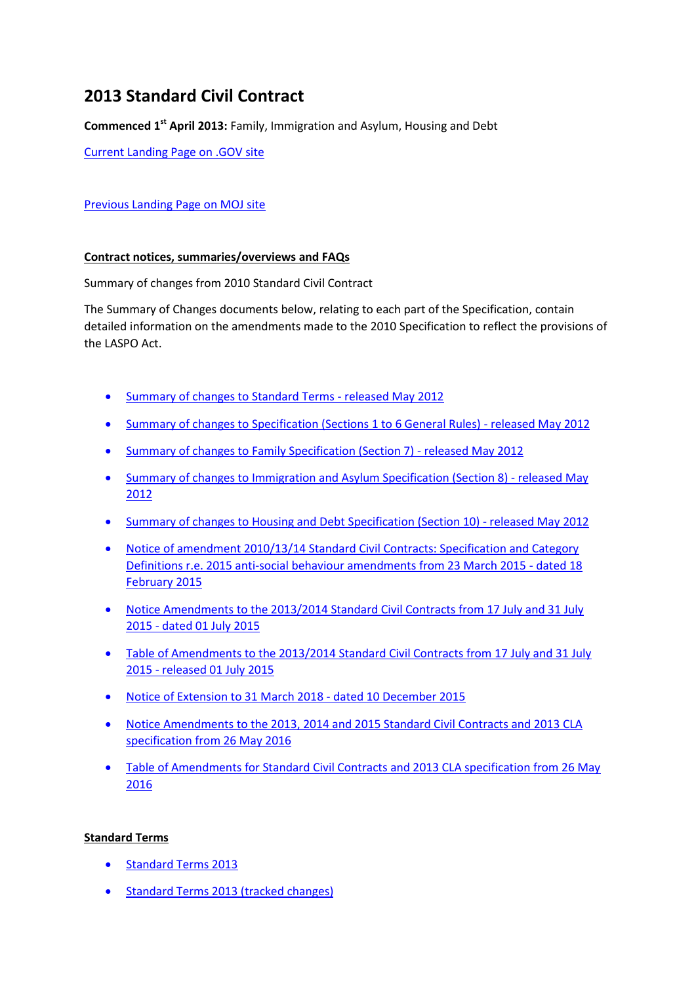# **2013 Standard Civil Contract**

**Commenced 1st April 2013:** Family, Immigration and Asylum, Housing and Debt

[Current Landing Page on .GOV site](https://www.gov.uk/government/publications/standard-civil-contract-2013)

## [Previous Landing Page on MOJ site](http://webarchive.nationalarchives.gov.uk/20140713080754/http:/www.justice.gov.uk/legal-aid/contracts-and-tenders/standard-civil-contract-2013)

#### **Contract notices, summaries/overviews and FAQs**

Summary of changes from 2010 Standard Civil Contract

The Summary of Changes documents below, relating to each part of the Specification, contain detailed information on the amendments made to the 2010 Specification to reflect the provisions of the LASPO Act.

- [Summary of changes to Standard Terms -](http://webarchive.nationalarchives.gov.uk/20140713080754/http:/www.justice.gov.uk/downloads/legal-aid/civil-contracts/summary-of-changes-standard-terms.pdf) released May 2012
- [Summary of changes to Specification \(Sections 1 to 6 General Rules\) -](http://webarchive.nationalarchives.gov.uk/20140713080754/http:/www.justice.gov.uk/downloads/legal-aid/civil-contracts/summary-of-changes-gen-specs-sep12.pdf) released May 2012
- [Summary of changes to Family Specification \(Section 7\) -](http://webarchive.nationalarchives.gov.uk/20140713080754/http:/www.justice.gov.uk/downloads/legal-aid/civil-contracts/summary-of-changes-family-spec-sept12.pdf) released May 2012
- [Summary of changes to Immigration and Asylum Specification \(Section 8\) -](http://webarchive.nationalarchives.gov.uk/20140713080754/http:/www.justice.gov.uk/downloads/legal-aid/civil-contracts/summary-of-changes-immigration-asylum-sep12.pdf) released May [2012](http://webarchive.nationalarchives.gov.uk/20140713080754/http:/www.justice.gov.uk/downloads/legal-aid/civil-contracts/summary-of-changes-immigration-asylum-sep12.pdf)
- [Summary of changes to Housing and Debt](http://webarchive.nationalarchives.gov.uk/20140713080754/http:/www.justice.gov.uk/downloads/legal-aid/civil-contracts/summary-of-changes-housing-and-debt-sep12.pdf) Specification (Section 10) released May 2012
- [Notice of amendment 2010/13/14 Standard Civil Contracts: Specification and Category](http://webarchive.nationalarchives.gov.uk/20150401041643/https:/www.gov.uk/government/uploads/system/uploads/attachment_data/file/406153/standard-civil-contract-amendment-notice.pdf)  [Definitions r.e. 2015 anti-social behaviour amendments from 23 March 2015 -](http://webarchive.nationalarchives.gov.uk/20150401041643/https:/www.gov.uk/government/uploads/system/uploads/attachment_data/file/406153/standard-civil-contract-amendment-notice.pdf) dated 18 [February 2015](http://webarchive.nationalarchives.gov.uk/20150401041643/https:/www.gov.uk/government/uploads/system/uploads/attachment_data/file/406153/standard-civil-contract-amendment-notice.pdf)
- [Notice Amendments to the 2013/2014 Standard Civil Contracts from 17 July and 31 July](http://webarchive.nationalarchives.gov.uk/20151205011817/https:/www.gov.uk/government/uploads/system/uploads/attachment_data/file/441884/contract-notice-of-amendments.pdf)  2015 - [dated 01 July 2015](http://webarchive.nationalarchives.gov.uk/20151205011817/https:/www.gov.uk/government/uploads/system/uploads/attachment_data/file/441884/contract-notice-of-amendments.pdf)
- Table of Amendments to the 2013/2014 Standard Civil Contracts from 17 July and 31 July 2015 - [released 01 July 2015](http://webarchive.nationalarchives.gov.uk/20151205011817/https:/www.gov.uk/government/uploads/system/uploads/attachment_data/file/441881/table-of-amendments.pdf)
- [Notice of Extension to 31 March 2018 -](http://webarchive.nationalarchives.gov.uk/20161126102635/https:/www.gov.uk/government/uploads/system/uploads/attachment_data/file/484970/2013-standard-civil-contract.pdf) dated 10 December 2015
- [Notice Amendments to the 2013, 2014 and 2015 Standard Civil Contracts and 2013 CLA](http://webarchive.nationalarchives.gov.uk/20161126102635/https:/www.gov.uk/government/uploads/system/uploads/attachment_data/file/526399/contract-amendment-notification.pdf)  [specification from 26 May 2016](http://webarchive.nationalarchives.gov.uk/20161126102635/https:/www.gov.uk/government/uploads/system/uploads/attachment_data/file/526399/contract-amendment-notification.pdf)
- Table of Amendments for Standard Civil Contracts and 2013 CLA specification from 26 May [2016](http://webarchive.nationalarchives.gov.uk/20160609012146/https:/www.gov.uk/government/uploads/system/uploads/attachment_data/file/526401/summary-of-amendments-to-2013-2014-2015-standard-civil-contracts.pdf)

## **Standard Terms**

- [Standard Terms 2013](http://webarchive.nationalarchives.gov.uk/20140713080754/http:/www.justice.gov.uk/downloads/legal-aid/civil-contracts/standard-terms-2013.pdf)
- [Standard Terms 2013 \(tracked changes\)](http://webarchive.nationalarchives.gov.uk/20140713080754/http:/www.justice.gov.uk/downloads/legal-aid/civil-contracts/standard-terms-tracked.pdf)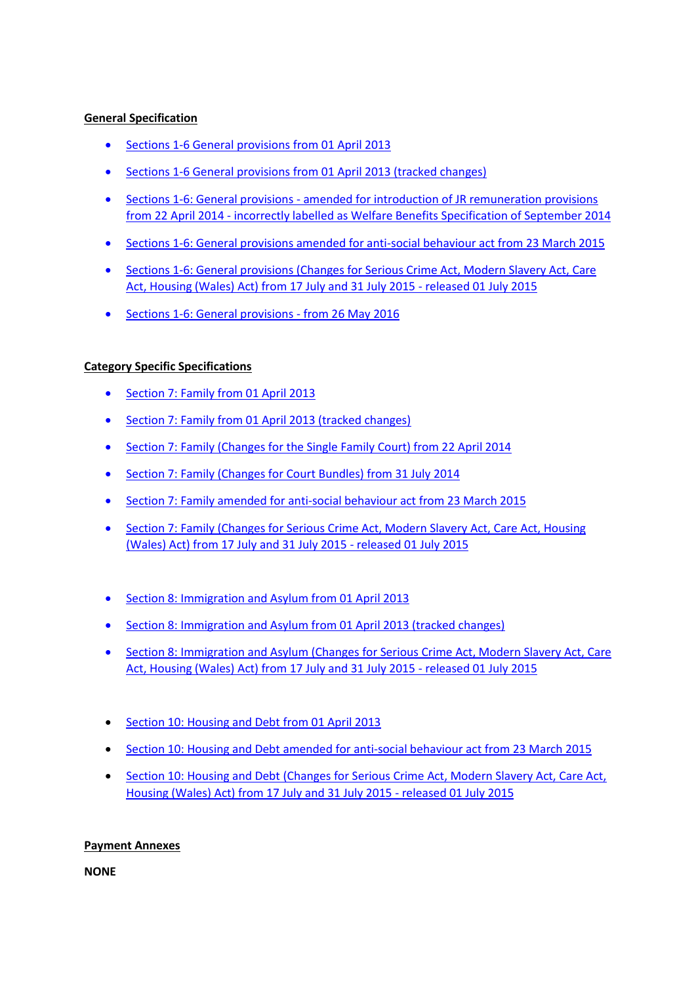### **General Specification**

- [Sections 1-6 General provisions from 01 April 2013](http://webarchive.nationalarchives.gov.uk/20140713080754/http:/www.justice.gov.uk/downloads/legal-aid/civil-contracts/2013-standard-civil-contract-general-specification.pdf)
- [Sections 1-6 General provisions from 01 April 2013 \(tracked changes\)](http://webarchive.nationalarchives.gov.uk/20140713080754/http:/www.justice.gov.uk/downloads/legal-aid/civil-contracts/2013-standard-civil-contract-general-specification-tracked.pdf)
- Sections 1-6: General provisions [amended for introduction of JR remuneration provisions](http://webarchive.nationalarchives.gov.uk/20140713080754/http:/www.justice.gov.uk/downloads/legal-aid/tenders/2013-civil-contract-welfare-benefits-specification.pdf)  [from 22 April 2014](http://webarchive.nationalarchives.gov.uk/20140713080754/http:/www.justice.gov.uk/downloads/legal-aid/tenders/2013-civil-contract-welfare-benefits-specification.pdf) - incorrectly labelled as Welfare Benefits Specification of September 2014
- [Sections 1-6: General provisions amended for anti-social behaviour act from 23 March 2015](http://webarchive.nationalarchives.gov.uk/20150401041640/https:/www.gov.uk/government/uploads/system/uploads/attachment_data/file/406164/2013-standard-civil-contract-general-specification-2015-anti-social-behaviour-amendments.pdf)
- Sections 1-6: General provisions (Changes for Serious Crime Act, Modern Slavery Act, Care [Act, Housing \(Wales\) Act\) from 17 July and 31 July 2015 -](http://webarchive.nationalarchives.gov.uk/20151205011817/https:/www.gov.uk/government/uploads/system/uploads/attachment_data/file/441398/general-provisions-1-6.pdf) released 01 July 2015
- [Sections 1-6: General provisions -](http://webarchive.nationalarchives.gov.uk/20161126102635/https:/www.gov.uk/government/uploads/system/uploads/attachment_data/file/526402/2013-standard-civil-contract-specification-general-provisions-1-6-ame....pdf) from 26 May 2016

## **Category Specific Specifications**

- [Section 7: Family from 01 April 2013](http://webarchive.nationalarchives.gov.uk/20140713080754/http:/www.justice.gov.uk/downloads/legal-aid/civil-contracts/family-specification-february-2013.pdf)
- [Section 7: Family from 01 April 2013 \(tracked changes\)](http://webarchive.nationalarchives.gov.uk/20140713080754/http:/www.justice.gov.uk/downloads/legal-aid/civil-contracts/family-specification-tracked.pdf)
- [Section 7: Family \(Changes for the Single Family Court\) from 22 April 2014](http://webarchive.nationalarchives.gov.uk/20140713080754/http:/www.justice.gov.uk/downloads/legal-aid/civil-contracts/family-spec-single-family-court.pdf)
- [Section 7: Family \(Changes for Court Bundles\) from 31 July 2014](http://webarchive.nationalarchives.gov.uk/20140713080754/http:/www.justice.gov.uk/downloads/legal-aid/civil-contracts/family-court-bundles-spec.pdf)
- [Section 7: Family amended for anti-social behaviour act from 23 March 2015](http://webarchive.nationalarchives.gov.uk/20150401041640/https:/www.gov.uk/government/uploads/system/uploads/attachment_data/file/406165/2013-family-specification-2015-anti-social-behaviour-amendments.pdf)
- Section 7: Family (Changes for Serious Crime Act, Modern Slavery Act, Care Act, Housing [\(Wales\) Act\) from 17 July and 31 July 2015 -](http://webarchive.nationalarchives.gov.uk/20151205011817/https:/www.gov.uk/government/uploads/system/uploads/attachment_data/file/441388/category-specific-rules-family.pdf) released 01 July 2015
- [Section 8: Immigration and Asylum from 01 April 2013](http://webarchive.nationalarchives.gov.uk/20140713080754/http:/www.justice.gov.uk/downloads/legal-aid/civil-contracts/immigration-and-asylum-specification.pdf)
- [Section 8: Immigration and Asylum from 01 April 2013 \(tracked changes\)](http://webarchive.nationalarchives.gov.uk/20140713080754/http:/www.justice.gov.uk/downloads/legal-aid/civil-contracts/immigration-asylum-specification-tracked.pdf)
- Section 8: Immigration and Asylum (Changes for Serious Crime Act, Modern Slavery Act, Care [Act, Housing \(Wales\) Act\) from 17 July and 31 July 2015 -](http://webarchive.nationalarchives.gov.uk/20151205011817/https:/www.gov.uk/government/uploads/system/uploads/attachment_data/file/441393/category-specific-rules-immigration-and-asylum.pdf) released 01 July 2015
- [Section 10: Housing and Debt from 01 April 2013](http://webarchive.nationalarchives.gov.uk/20140713080754/http:/www.justice.gov.uk/downloads/legal-aid/civil-contracts/housing-debt-specification.pdf)
- [Section 10: Housing and Debt amended for anti-social behaviour act from 23 March 2015](http://webarchive.nationalarchives.gov.uk/20150401041640/https:/www.gov.uk/government/uploads/system/uploads/attachment_data/file/406166/2013-standard-civil-contract-housing-and-debt-specification-2015-anti-social-behaviour-amendments.pdf)
- [Section 10: Housing and Debt \(Changes for Serious Crime Act, Modern Slavery Act, Care Act,](http://webarchive.nationalarchives.gov.uk/20151205011817/https:/www.gov.uk/government/uploads/system/uploads/attachment_data/file/441390/category-specific-rules-housing-and-debt.pdf)  [Housing \(Wales\) Act\) from 17 July and 31 July 2015 -](http://webarchive.nationalarchives.gov.uk/20151205011817/https:/www.gov.uk/government/uploads/system/uploads/attachment_data/file/441390/category-specific-rules-housing-and-debt.pdf) released 01 July 2015

#### **Payment Annexes**

**NONE**